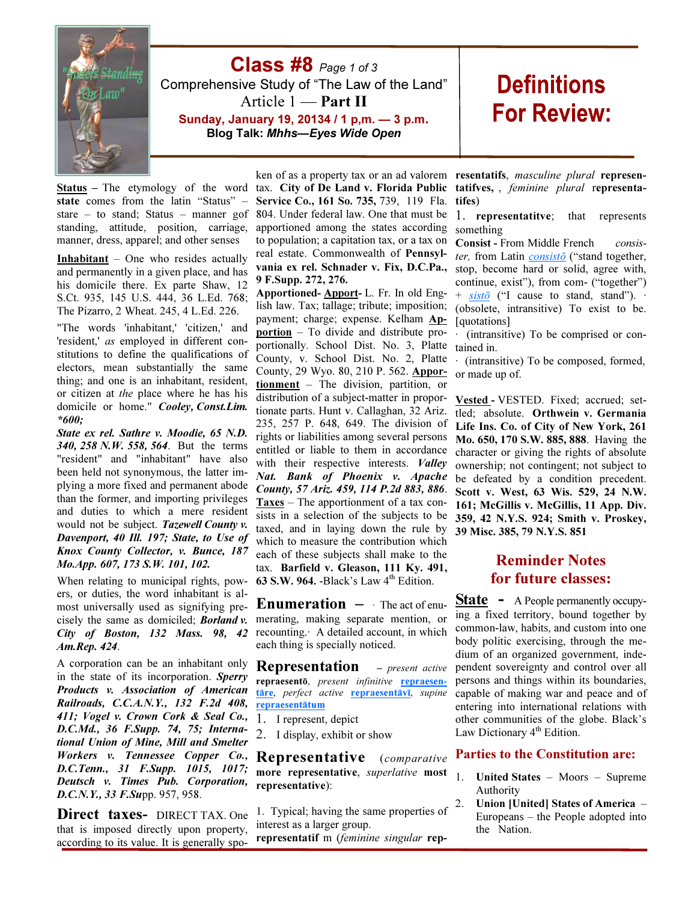

**Class #8**  $Page 1 of 3$ Comprehensive Study of "The Law of the Land" Article 1 — Part II

Sunday, January 19, 20134 / 1 p,m. — 3 p.m. Blog Talk: Mhhs—Eyes Wide Open

# **Definitions For Review:**

state comes from the latin "Status" – standing, attitude, position, carriage, manner, dress, apparel; and other senses

**Inhabitant** – One who resides actually and permanently in a given place, and has his domicile there. Ex parte Shaw, 12 S.Ct. 935, 145 U.S. 444, 36 L.Ed. 768; The Pizarro, 2 Wheat. 245, 4 L.Ed. 226.

"The words 'inhabitant,' 'citizen,' and 'resident,' as employed in different constitutions to define the qualifications of electors, mean substantially the same thing; and one is an inhabitant, resident, or citizen at the place where he has his domicile or home." Cooley, Const.Lim. \*600;

State ex rel. Sathre v. Moodie, 65 N.D. 340, 258 N.W. 558, 564. But the terms "resident" and "inhabitant" have also been held not synonymous, the latter implying a more fixed and permanent abode than the former, and importing privileges and duties to which a mere resident would not be subject. Tazewell County v. Davenport, 40 Ill. 197; State, to Use of Knox County Collector, v. Bunce, 187 Mo.App. 607, 173 S.W. 101, 102.

When relating to municipal rights, powers, or duties, the word inhabitant is almost universally used as signifying precisely the same as domiciled; Borland v. City of Boston, 132 Mass. 98, 42 Am.Rep. 424.

A corporation can be an inhabitant only in the state of its incorporation. Sperry Products v. Association of American Railroads, C.C.A.N.Y., 132 F.2d 408, 411; Vogel v. Crown Cork & Seal Co., D.C.Md., 36 F.Supp. 74, 75; International Union of Mine, Mill and Smelter Workers v. Tennessee Copper Co., D.C.Tenn., 31 F.Supp. 1015, 1017; Deutsch v. Times Pub. Corporation, D.C.N.Y., 33 F.Supp. 957, 958.

Direct taxes- DIRECT TAX. One that is imposed directly upon property, according to its value. It is generally spo-

Status – The etymology of the word tax. City of De Land v. Florida Public stare – to stand; Status – manner gof 804. Under federal law. One that must be ken of as a property tax or an ad valorem Service Co., 161 So. 735, 739, 119 Fla. apportioned among the states according to population; a capitation tax, or a tax on real estate. Commonwealth of Pennsylvania ex rel. Schnader v. Fix, D.C.Pa., 9 F.Supp. 272, 276.

Apportioned- Apport- L. Fr. In old English law. Tax; tallage; tribute; imposition; payment; charge; expense. Kelham Apportion – To divide and distribute proportionally. School Dist. No. 3, Platte County, v. School Dist. No. 2, Platte County, 29 Wyo. 80, 210 P. 562. Apportionment – The division, partition, or distribution of a subject-matter in proportionate parts. Hunt v. Callaghan, 32 Ariz. 235, 257 P. 648, 649. The division of rights or liabilities among several persons entitled or liable to them in accordance with their respective interests. Valley Nat. Bank of Phoenix v. Apache County, 57 Ariz. 459, 114 P.2d 883, 886. Taxes – The apportionment of a tax consists in a selection of the subjects to be taxed, and in laying down the rule by which to measure the contribution which each of these subjects shall make to the tax. Barfield v. Gleason, 111 Ky. 491, 63 S.W. 964. -Black's Law  $4<sup>th</sup>$  Edition.

**Enumeration**  $-$  The act of enumerating, making separate mention, or recounting.· A detailed account, in which each thing is specially noticed.

**Representation** – *present active* repraesentō, present infinitive repraesentāre, perfect active repraesentāvī, supine repraesentātum

1. I represent, depict

2. I display, exhibit or show

Representative (comparative more representative, superlative most representative):

1. Typical; having the same properties of interest as a larger group.

representatif m (feminine singular rep-

resentatifs, masculine plural representatifves, , feminine plural representatifes)

1. representatitve; that represents something

Consist - From Middle French consister, from Latin  $consist\bar{o}$  ("stand together, stop, become hard or solid, agree with, continue, exist"), from com- ("together")  $+$  sisto ("I cause to stand, stand"). (obsolete, intransitive) To exist to be. [quotations]

(intransitive) To be comprised or contained in.

· (intransitive) To be composed, formed, or made up of.

Vested - VESTED. Fixed; accrued; settled; absolute. Orthwein v. Germania Life Ins. Co. of City of New York, 261 Mo. 650, 170 S.W. 885, 888. Having the character or giving the rights of absolute ownership; not contingent; not subject to be defeated by a condition precedent. Scott v. West, 63 Wis. 529, 24 N.W. 161; McGillis v. McGillis, 11 App. Div. 359, 42 N.Y.S. 924; Smith v. Proskey, 39 Misc. 385, 79 N.Y.S. 851

## Reminder Notes for future classes:

State - A People permanently occupying a fixed territory, bound together by common-law, habits, and custom into one body politic exercising, through the medium of an organized government, independent sovereignty and control over all persons and things within its boundaries, capable of making war and peace and of entering into international relations with other communities of the globe. Black's Law Dictionary 4<sup>th</sup> Edition.

#### Parties to the Constitution are:

- 1. United States Moors Supreme Authority
- 2. Union [United] States of America Europeans – the People adopted into the Nation.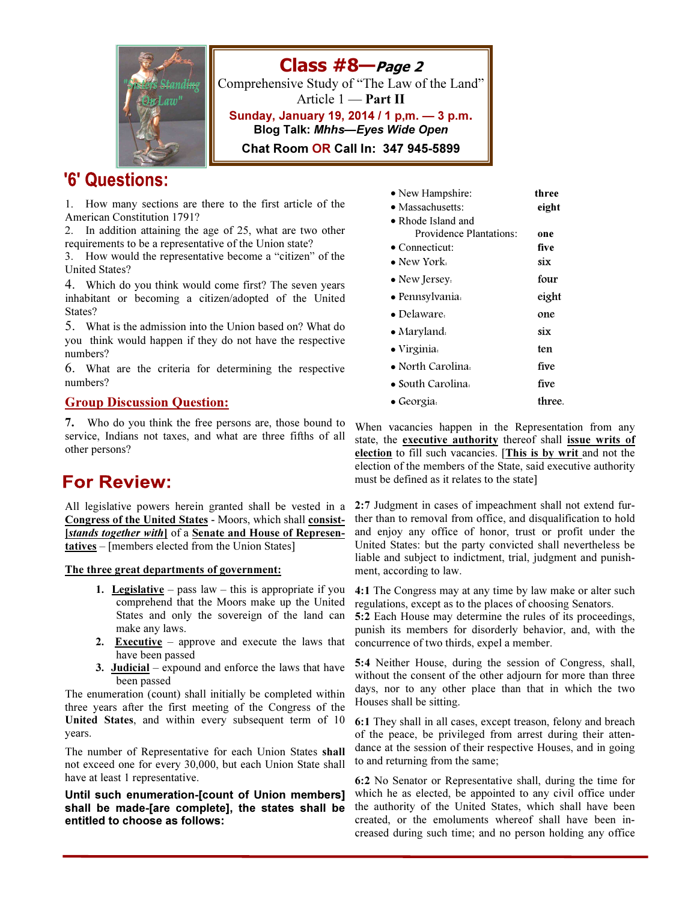

# '6' Questions:

1. How many sections are there to the first article of the American Constitution 1791?

2. In addition attaining the age of 25, what are two other requirements to be a representative of the Union state?

3. How would the representative become a "citizen" of the United States?

4. Which do you think would come first? The seven years inhabitant or becoming a citizen/adopted of the United States?

5. What is the admission into the Union based on? What do you think would happen if they do not have the respective numbers?

6. What are the criteria for determining the respective numbers?

#### Group Discussion Question:

7. Who do you think the free persons are, those bound to service, Indians not taxes, and what are three fifths of all other persons?

# **For Review:**

All legislative powers herein granted shall be vested in a Congress of the United States - Moors, which shall consist- [stands together with] of a Senate and House of Representatives – [members elected from the Union States]

The three great departments of government:

- 1. Legislative pass law this is appropriate if you comprehend that the Moors make up the United States and only the sovereign of the land can make any laws.
- 2. Executive approve and execute the laws that have been passed
- 3. Judicial expound and enforce the laws that have been passed

The enumeration (count) shall initially be completed within three years after the first meeting of the Congress of the United States, and within every subsequent term of 10 years.

The number of Representative for each Union States shall not exceed one for every 30,000, but each Union State shall have at least 1 representative.

Until such enumeration-[count of Union members] shall be made-[are complete], the states shall be entitled to choose as follows:

| • New Hampshire:<br>$\bullet$ Massachusetts:<br>$\bullet$ Rhode Island and | three<br>eight |
|----------------------------------------------------------------------------|----------------|
| <b>Providence Plantations:</b>                                             | one            |
| $\bullet$ Connecticut:                                                     | five           |
| $\bullet$ New York.                                                        | six            |
| • New Jersey.                                                              | four           |
| • Pennsylvania.                                                            | eight          |
| $\bullet$ Delaware.                                                        | one            |
| $\bullet$ Maryland.                                                        | six            |
| $\bullet$ Virginia.                                                        | ten            |
| • North Carolina.                                                          | five           |
| $\bullet$ South Carolina.                                                  | five           |
| $\bullet$ Georgia.                                                         | three.         |

When vacancies happen in the Representation from any state, the executive authority thereof shall issue writs of election to fill such vacancies. [This is by writ and not the election of the members of the State, said executive authority must be defined as it relates to the state]

2:7 Judgment in cases of impeachment shall not extend further than to removal from office, and disqualification to hold and enjoy any office of honor, trust or profit under the United States: but the party convicted shall nevertheless be liable and subject to indictment, trial, judgment and punishment, according to law.

4:1 The Congress may at any time by law make or alter such regulations, except as to the places of choosing Senators.

5:2 Each House may determine the rules of its proceedings, punish its members for disorderly behavior, and, with the concurrence of two thirds, expel a member.

5:4 Neither House, during the session of Congress, shall, without the consent of the other adjourn for more than three days, nor to any other place than that in which the two Houses shall be sitting.

6:1 They shall in all cases, except treason, felony and breach of the peace, be privileged from arrest during their attendance at the session of their respective Houses, and in going to and returning from the same;

6:2 No Senator or Representative shall, during the time for which he as elected, be appointed to any civil office under the authority of the United States, which shall have been created, or the emoluments whereof shall have been increased during such time; and no person holding any office